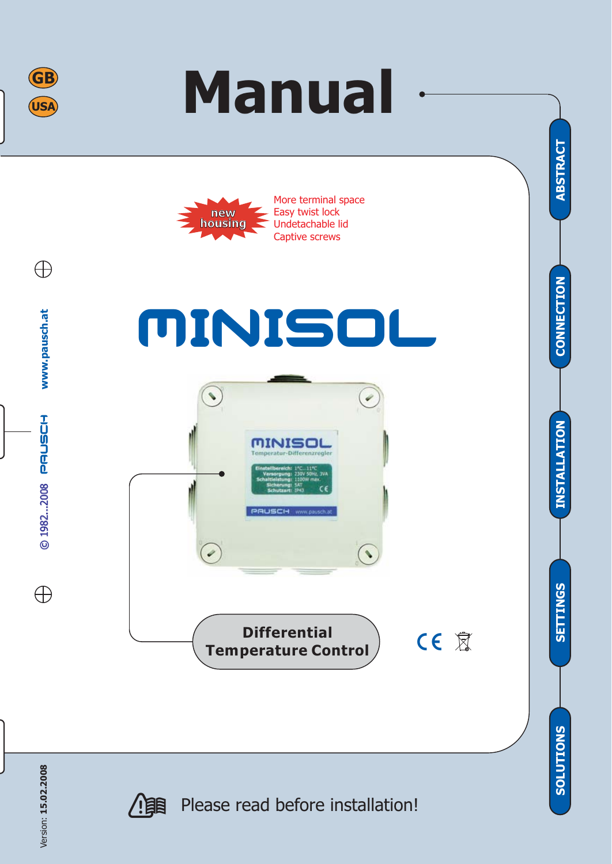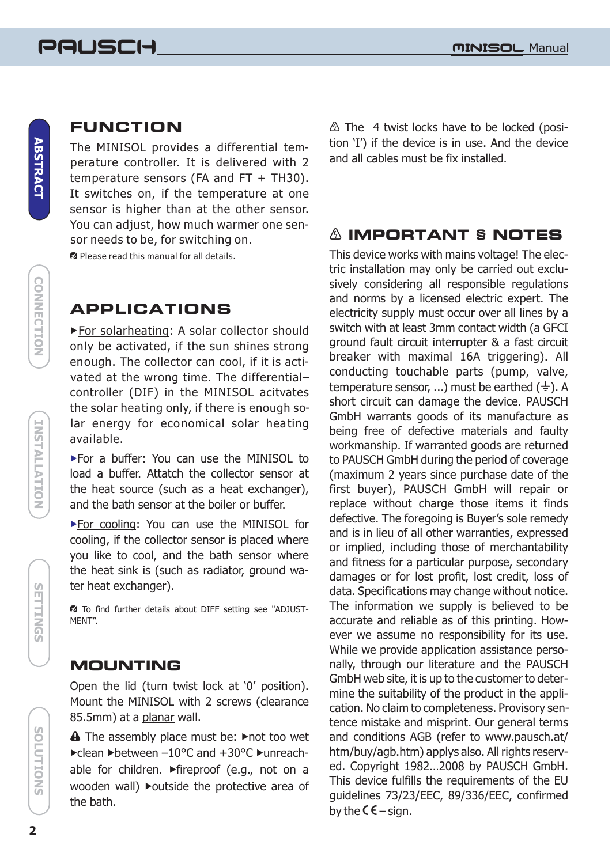**CONNECTION**

**CONNECTION** 

**INSTALLATION** 

## **FUNCTION**

The MINISOL provides a differential temperature controller. It is delivered with 2 temperature sensors (FA and FT + TH30). It switches on, if the temperature at one sensor is higher than at the other sensor. You can adjust, how much warmer one sensor needs to be, for switching on.

**2** Please read this manual for all details.

## **APPLICATIONS**

For solarheating: A solar collector should only be activated, if the sun shines strong enough. The collector can cool, if it is activated at the wrong time. The differential– controller (DIF) in the MINISOL acitvates the solar heating only, if there is enough solar energy for economical solar heating available.

For a buffer: You can use the MINISOL to load a buffer. Attatch the collector sensor at the heat source (such as a heat exchanger), and the bath sensor at the boiler or buffer .

For cooling: You can use the MINISOL for cooling, if the collector sensor is placed where you like to cool, and the bath sensor where the heat sink is (such as radiator, ground water heat exchanger).

 To find further details about DIFF setting see "ADJUST-MENT".

#### **MOUNTING**

Open the lid (turn twist lock at '0' position). Mount the MINISOL with 2 screws (clearance 85.5mm) at a <u>planar</u> wall.

A The assembly place must be: >not too wet >clean >between -10°C and +30°C >unreachable for children. Fireproof (e.g., not on a wooden wall) > outside the protective area of the bath.

 $\triangle$  The 4 twist locks have to be locked (position 'I') if the device is in use. And the device and all cables must be fix installed.

#### **IMPORTANT § NOTES**

This device works with mains voltage! The electric installation may only be carried out exclusively considering all responsible regulations and norms by a licensed electric expert. The electricity supply must occur over all lines by a switch with at least 3mm contact width (a GFCI ground fault circuit interrupter & a fast circuit breaker with maximal 16A triggering). All conducting touchable parts (pump, valve, temperature sensor, ...) must be earthed  $(\frac{1}{2})$ . A short circuit can damage the device. PAUSCH GmbH warrants goods of its manufacture as being free of defective materials and faulty workmanship. If warranted goods are returned to PAUSCH GmbH during the period of coverage (maximum 2 years since purchase date of the first buyer), PAUSCH GmbH will repair or replace without charge those items it finds defective. The foregoing is Buyer's sole remedy and is in lieu of all other warranties, expressed or implied, including those of merchantability and fitness for a particular purpose, secondary damages or for lost profit, lost credit, loss of data. Specifications may change without notice. The information we supply is believed to be accurate and reliable as of this printing. However we assume no responsibility for its use. While we provide application assistance personally, through our literature and the PAUSCH GmbH web site, it is up to the customer to determine the suitability of the product in the application. No claim to completeness. Provisory sentence mistake and misprint. Our general terms and conditions AGB (refer to www.pausch.at/ htm/buy/agb.htm) applys also. All rights reserved. Copyright 1982…2008 by PAUSCH GmbH. This device fulfills the requirements of the EU guidelines 73/23/EEC, 89/336/EEC, confirmed by the  $C \epsilon$  – sign.

**SETTINGS**

**SEITINGS**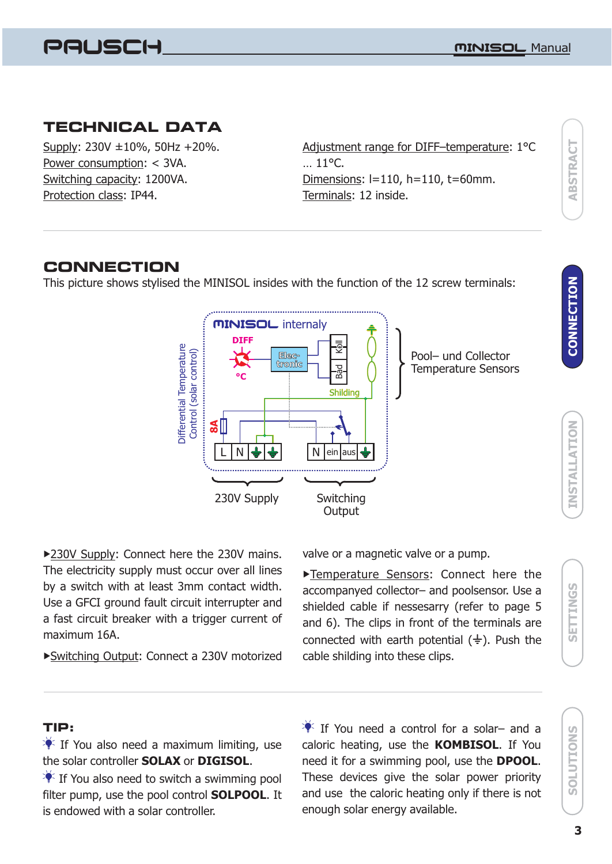

### **TECHNICAL DATA**

Supply: 230V ±10%, 50Hz +20%. Power consumption: < 3VA. Switching capacity: 1200VA. Protection class: IP44.

Adjustment range for DIFF–temperature : 1°C Dimensions : l=110, h=110, t=60mm. Terminals: 12 inside. … 11°C.

# **ABSTRACT ABSTRACT**

### **CONNECTION**

This picture shows stylised the MINISOL insides with the function of the 12 screw terminals:



230V Supply: Connect here the 230V mains. maximum 16A. The electricity supply must occur over all lines by a switch with at least 3mm contact width. Use a GFCI ground fault circuit interrupter and a fast circuit breaker with a trigger current of

Switching Output: Connect a 230V motorized cable shilding into these clips.

valve or a magnetic valve or a pump.

Temperature Sensors: Connect here the connected with earth potential  $(\frac{1}{2})$ . Push the accompanyed collector– and poolsensor. Use a shielded cable if nessesarry (refer to page 5 and 6). The clips in front of the terminals are

#### **TIP:**

 $\frac{1}{2}$  If You also need a maximum limiting, use the solar controller **SOLAX** or **DIGISOL**.

 $\P^*$  If You also need to switch a swimming pool filter pump, use the pool control **SOLPOOL**. It is endowed with a solar controller.

If You need a control for a solar- and a caloric heating, use the **KOMBISOL**. If You need it for a swimming pool, use the **DPOOL**. These devices give the solar power priority and use the caloric heating only if there is not enough solar energy available.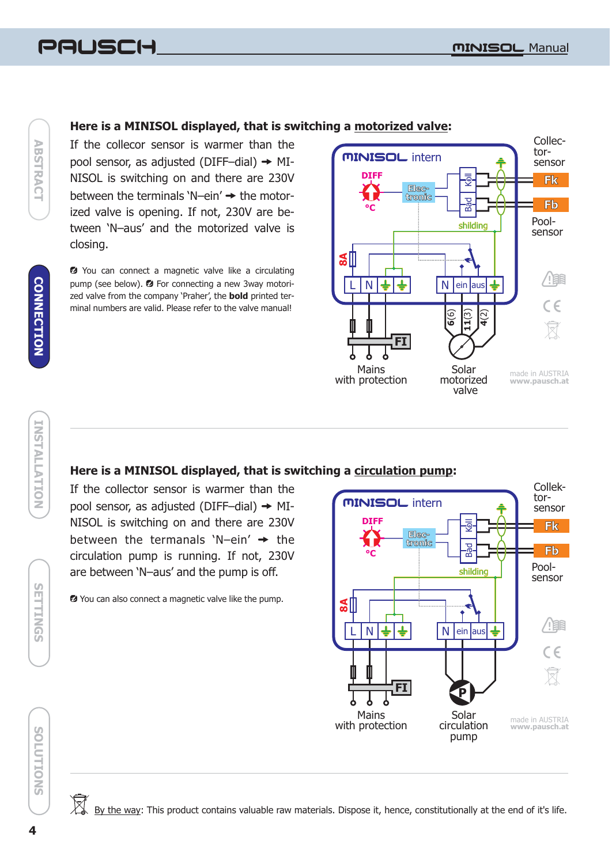# -

#### Here is a MINISOL displayed, that is switching a motorized valve:

If the collecor sensor is warmer than the pool sensor, as adjusted (DIFF-dial)  $\rightarrow$  MI-NISOL is switching on and there are 230V between the terminals 'N-ein'  $\rightarrow$  the motorized valve is opening. If not, 230V are between 'N–aus' and the motorized valve is closing.

**2** You can connect a magnetic valve like a circulating pump (see below). <sup>2</sup> For connecting a new 3way motorized valve from the company 'Praher', the **bold** printed terminal numbers are valid. Please refer to the valve manual!



#### Here is a MINISOL displayed, that is switching a circulation pump:

If the collector sensor is warmer than the pool sensor, as adjusted (DIFF-dial)  $\rightarrow$  MI-NISOL is switching on and there are 230V between the termanals 'N-ein'  $\rightarrow$  the circulation pump is running. If not, 230V are between 'N–aus' and the pump is off.

You can also connect a magnetic valve like the pump.





**SETTINGS**

**SETTINGS**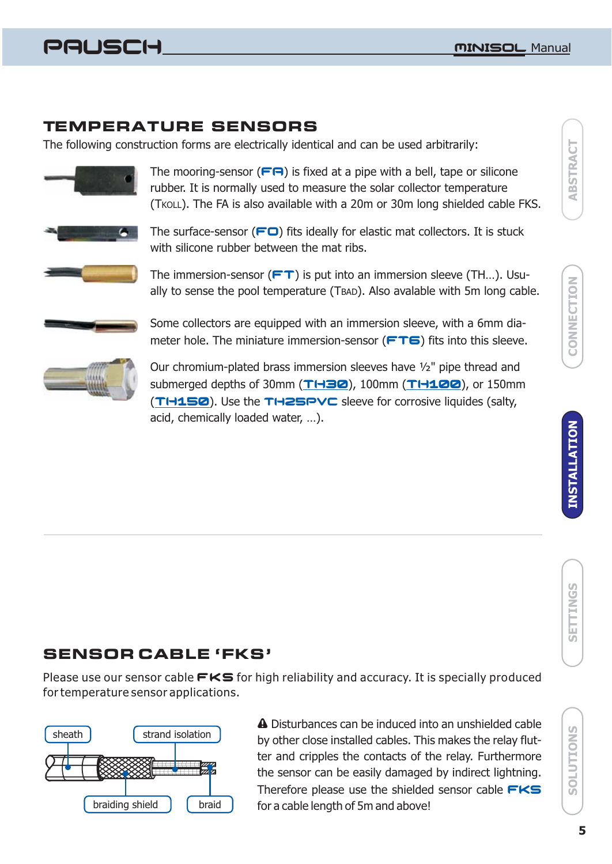# -

### **TEMPERATURE SENSORS**

The following construction forms are electrically identical and can be used arbitrarily:



The mooring-sensor  $(\mathsf{FT})$  is fixed at a pipe with a bell, tape or silicone rubber. It is normally used to measure the solar collector temperature (TKOLL). The FA is also available with a 20m or 30m long shielded cable FKS.



The surface-sensor  $(\square$  fits ideally for elastic mat collectors. It is stuck with silicone rubber between the mat ribs.



The immersion-sensor  $(FT)$  is put into an immersion sleeve (TH...). Usually to sense the pool temperature (TBAD). Also avalable with 5m long cable.



Some collectors are equipped with an immersion sleeve, with a 6mm diameter hole. The miniature immersion-sensor  $(FTG)$  fits into this sleeve.



Our chromium-plated brass immersion sleeves have ½" pipe thread and submerged depths of 30mm (TH30), 100mm (TH100), or 150mm **(TH150)**. Use the TH2SPVC sleeve for corrosive liquides (salty, acid, chemically loaded water, …).

# **SENSOR CABLE 'FKS'**

Please use our sensor cable  $\mathsf{FKS}$  for high reliability and accuracy. It is specially produced for temperature sensor applications.



 Disturbances can be induced into an unshielded cable by other close installed cables. This makes the relay flutter and cripples the contacts of the relay. Furthermore the sensor can be easily damaged by indirect lightning. Therefore please use the shielded sensor cable FKS for a cable length of 5m and above!

SOLUTIONS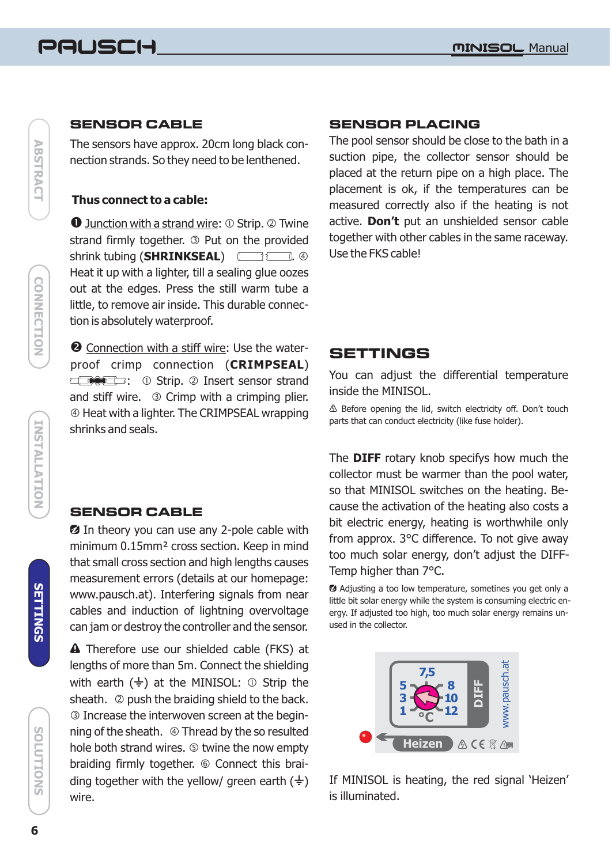# -

# **ABSTRACT ABSTRACT**

# **CONNECTION CONNECTION**

**INSTALLATION SOLUTIONS INSTALLATION**

#### **SENSOR CABLE**

The sensors have approx. 20cm long black connection strands. So they need to be lenthened.

#### **Thus connect to a cable:**

**O** Junction with a strand wire: 0 Strip. @ Twine strand firmly together. <sup>3</sup> Put on the provided shrink tubing (**SHRINKSEAL**) **in the set of the set of the set of the set of the set of the set of the set of the s** Heat it up with a lighter, till a sealing glue oozes out at the edges. Press the still warm tube a little, to remove air inside. This durable connection is absolutely waterproof.

2 Connection with a stiff wire: Use the waterproof crimp connection ( ) **CRIMPSEAL** : ① Strip. 2 Insert sensor strand and stiff wire. Crimp with a crimping plier. Heat with a lighter. The CRIMPSEAL wrapping shrinks and seals.

#### **SENSOR CABLE**

**2** In theory you can use any 2-pole cable with minimum 0.15mm² cross section. Keep in mind that small cross section and high lengths causes measurement errors (details at our homepage: www.pausch.at). Interfering signals from near cables and induction of lightning overvoltage can jam or destroy the controller and the sensor.

**A** Therefore use our shielded cable (FKS) at lengths of more than 5m. Connect the shielding with earth  $(\frac{1}{2})$  at the MINISOL:  $\circledcirc$  Strip the sheath. @ push the braiding shield to the back. Increase the interwoven screen at the begin ning of the sheath.  $\circledast$  Thread by the so resulted hole both strand wires. **twine the now empty** braiding firmly together. © Connect this braiding together with the yellow/ green earth  $(\frac{1}{2})$ wire.

#### **SENSOR PLACING**

The pool sensor should be close to the bath in a suction pipe, the collector sensor should be placed at the return pipe on a high place. The placement is ok, if the temperatures can be measured correctly also if the heating is not active. **Don't** put an unshielded sensor cable together with other cables in the same raceway. Use the FKS cable!

## **SETTINGS**

You can adjust the differential temperature inside the MINISOL.

 $\triangle$  Before opening the lid, switch electricity off. Don't touch parts that can conduct electricity (like fuse holder).

The DIFF rotary knob specifys how much the collector must be warmer than the pool water, so that MINISOL switches on the heating. Because the activation of the heating also costs a bit electric energy, heating is worthwhile only from approx. 3°C difference. To not give away too much solar energy, don't adjust the DIFF-Temp higher than 7°C.

 Adjusting a too low temperature, sometines you get only a little bit solar energy while the system is consuming electric energy. If adjusted too high, too much solar energy remains unused in the collector.



If MINISOL is heating, the red signal 'Heizen' is illuminated.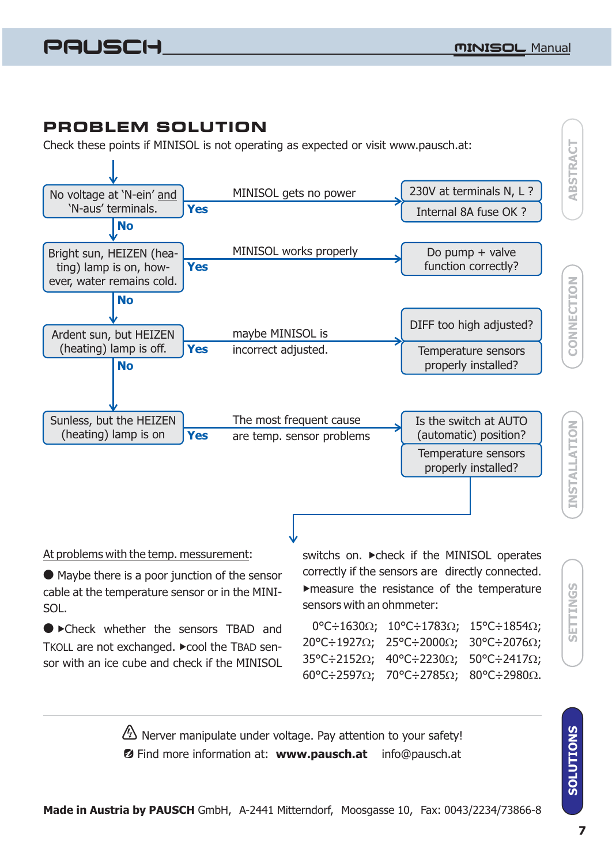# **PROBLEM SOLUTION**

Check these points if MINISOL is not operating as expected or visit www.pausch.at:



#### At problems with the temp. messurement:

Maybe there is a poor junction of the sensor " cable at the temperature sensor or in the MINI-SOL .

**• Check whether the sensors TBAD and** TKOLL are not exchanged. ▶ cool the TBAD sensor with an ice cube and check if the MINISOL

switchs on. > check if the MINISOL operates correctly if the sensors are directly connected. measure the resistance of the temperature sensors with an ohmmeter:

| $0^{\circ}$ C÷1630Ω; 10°C÷1783Ω; 15°C÷1854Ω;                                                  |  |
|-----------------------------------------------------------------------------------------------|--|
| $20^{\circ}$ C $\div$ 1927 $\Omega$ ; 25°C $\div$ 2000 $\Omega$ ; 30°C $\div$ 2076 $\Omega$ ; |  |
| $35^{\circ}$ C $\div$ 2152 $\Omega$ ; 40°C $\div$ 2230 $\Omega$ ; 50°C $\div$ 2417 $\Omega$ ; |  |
| 60°C÷2597 $\Omega$ ; 70°C÷2785 $\Omega$ ; 80°C÷2980 $\Omega$ .                                |  |

Nerver manipulate under voltage. Pay attention to your safety! **Ø** Find more information at: www.pausch.at info@pausch.at **SOLUTIONS** 

**SETTINGS**

SETTINGS